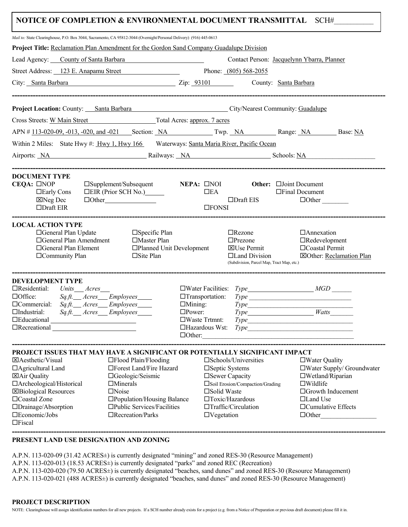## **NOTICE OF COMPLETION & ENVIRONMENTAL DOCUMENT TRANSMITTAL SCH#**

| Mail to: State Clearinghouse, P.O. Box 3044, Sacramento, CA 95812-3044 (Overnight/Personal Delivery) (916) 445-0613                                                                                                                                                                                              |                                                                                                                                                                                              |                                                                                   |                                                                                                                                                         |                                |                                                                                                                                                                                            |  |
|------------------------------------------------------------------------------------------------------------------------------------------------------------------------------------------------------------------------------------------------------------------------------------------------------------------|----------------------------------------------------------------------------------------------------------------------------------------------------------------------------------------------|-----------------------------------------------------------------------------------|---------------------------------------------------------------------------------------------------------------------------------------------------------|--------------------------------|--------------------------------------------------------------------------------------------------------------------------------------------------------------------------------------------|--|
| <b>Project Title:</b> Reclamation Plan Amendment for the Gordon Sand Company Guadalupe Division                                                                                                                                                                                                                  |                                                                                                                                                                                              |                                                                                   |                                                                                                                                                         |                                |                                                                                                                                                                                            |  |
| Lead Agency: County of Santa Barbara Chambridge County of Santa Barbara                                                                                                                                                                                                                                          |                                                                                                                                                                                              | Contact Person: Jacquelynn Ybarra, Planner                                        |                                                                                                                                                         |                                |                                                                                                                                                                                            |  |
| Street Address: 123 E. Anapamu Street                                                                                                                                                                                                                                                                            |                                                                                                                                                                                              |                                                                                   | Phone: (805) 568-2055                                                                                                                                   |                                |                                                                                                                                                                                            |  |
| City: Santa Barbara Zip: 93101                                                                                                                                                                                                                                                                                   |                                                                                                                                                                                              |                                                                                   |                                                                                                                                                         | County: Santa Barbara          |                                                                                                                                                                                            |  |
| Project Location: County: Santa Barbara Community: Guadalupe                                                                                                                                                                                                                                                     |                                                                                                                                                                                              |                                                                                   |                                                                                                                                                         |                                |                                                                                                                                                                                            |  |
| Cross Streets: W Main Street Total Acres: approx. 7 acres                                                                                                                                                                                                                                                        |                                                                                                                                                                                              |                                                                                   |                                                                                                                                                         |                                |                                                                                                                                                                                            |  |
| APN # 113-020-09, -013, -020, and -021 Section: NA Twp. NA Range: NA Base: NA                                                                                                                                                                                                                                    |                                                                                                                                                                                              |                                                                                   |                                                                                                                                                         |                                |                                                                                                                                                                                            |  |
| Within 2 Miles: State Hwy #: Hwy 1, Hwy 166 Waterways: Santa Maria River, Pacific Ocean<br>Airports: NA Railways: NA Railways: NA Schools: NA                                                                                                                                                                    |                                                                                                                                                                                              |                                                                                   |                                                                                                                                                         |                                |                                                                                                                                                                                            |  |
| <b>DOCUMENT TYPE</b><br>CEQA: □NOP<br>$\Box$ Early Cons<br>$\boxtimes$ Neg Dec<br>$\Box$ Draft EIR                                                                                                                                                                                                               | $\square$ Supplement/Subsequent<br>$\Box$ EIR (Prior SCH No.) $\Box$<br>$\Box$ Other                                                                                                         | $NEPA:$ $\Box$ NOI<br>$\Box$ EA<br>$\square$ FONSI                                | $\Box$ Draft EIS                                                                                                                                        | Other: <b>Elloint</b> Document | $\Box$ Final Document<br>$\Box$ Other                                                                                                                                                      |  |
| <b>LOCAL ACTION TYPE</b><br>□General Plan Update<br>□General Plan Amendment<br>□General Plan Element<br>□Community Plan                                                                                                                                                                                          | $\square$ Specific Plan<br>□Master Plan<br>□Planned Unit Development<br>$\Box$ Site Plan                                                                                                     |                                                                                   | $\Box$ Rezone<br>$\Box$ Prezone<br><b>X</b> Use Permit<br>□Land Division<br>(Subdivision, Parcel Map, Tract Map, etc.)                                  |                                | $\Box$ Annexation<br>$\Box$ Redevelopment<br>□Coastal Permit<br>⊠Other: Reclamation Plan                                                                                                   |  |
| <b>DEVELOPMENT TYPE</b><br>$\Box$ Residential:<br>Units Acres<br>$\Box$ Office:<br>$\Box$ Commercial: $Sq.f.$ Acres Employees<br>$\Box$ Industrial:<br>$\Box$ Educational<br>$\Box$ Recreational                                                                                                                 | $Sq.ft$ . Acres Employees<br>$Sq.ft$ . $\_\$ Acres $\_\$ Employees                                                                                                                           | □Transportation:<br>$\Box$ Mining:<br>$\square$ Power:<br>$\square$ Waste Trtmnt: | $\Box$ Hazardous Wst: $Type$<br>$\Box$ Other:                                                                                                           |                                | $\Box$ Water Facilities: $Type$ $MGD$<br>$Type \_\_$<br>Type<br>Type Watts<br>Type                                                                                                         |  |
| PROJECT ISSUES THAT MAY HAVE A SIGNIFICANT OR POTENTIALLY SIGNIFICANT IMPACT<br>$\boxtimes$ Aesthetic/Visual<br>$\Box$ Agricultural Land<br><b>⊠Air Quality</b><br>□ Archeological/Historical<br><b>X</b> Biological Resources<br>$\Box$ Coastal Zone<br>□Drainage/Absorption<br>□Economic/Jobs<br>$\Box$ Fiscal | □Flood Plain/Flooding<br>□Forest Land/Fire Hazard<br>□Geologic/Seismic<br>$\Box$ Minerals<br>$\Box$ Noise<br>□Population/Housing Balance<br>□Public Services/Facilities<br>□Recreation/Parks | □Solid Waste<br>$\Box$ Vegetation                                                 | □Schools/Universities<br>□Septic Systems<br>□ Sewer Capacity<br>Soil Erosion/Compaction/Grading<br>$\Box$ Toxic/Hazardous<br>$\Box$ Traffic/Circulation |                                | $\square$ Water Quality<br>$\Box$ Water Supply/ Groundwater<br>$\square$ Wetland/Riparian<br>$\square$ Wildlife<br>□Growth Inducement<br>□Land Use<br>□ Cumulative Effects<br>$\Box$ Other |  |
| PRESENT LAND USE DESIGNATION AND ZONING                                                                                                                                                                                                                                                                          |                                                                                                                                                                                              |                                                                                   |                                                                                                                                                         |                                |                                                                                                                                                                                            |  |

A.P.N. 113-020-09 (31.42 ACRES±) is currently designated "mining" and zoned RES-30 (Resource Management)

A.P.N. 113-020-013 (18.53 ACRES±) is currently designated "parks" and zoned REC (Recreation)

A.P.N. 113-020-020 (79.50 ACRES±) is currently designated "beaches, sand dunes" and zoned RES-30 (Resource Management)

A.P.N. 113-020-021 (488 ACRES±) is currently designated "beaches, sand dunes" and zoned RES-30 (Resource Management)

NOTE: Clearinghouse will assign identification numbers for all new projects. If a SCH number already exists for a project (e.g. from a Notice of Preparation or previous draft document) please fill it in.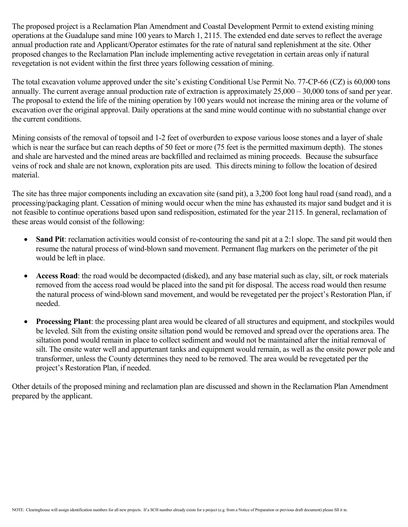The proposed project is a Reclamation Plan Amendment and Coastal Development Permit to extend existing mining operations at the Guadalupe sand mine 100 years to March 1, 2115. The extended end date serves to reflect the average annual production rate and Applicant/Operator estimates for the rate of natural sand replenishment at the site. Other proposed changes to the Reclamation Plan include implementing active revegetation in certain areas only if natural revegetation is not evident within the first three years following cessation of mining.

The total excavation volume approved under the site's existing Conditional Use Permit No. 77-CP-66 (CZ) is 60,000 tons annually. The current average annual production rate of extraction is approximately 25,000 – 30,000 tons of sand per year. The proposal to extend the life of the mining operation by 100 years would not increase the mining area or the volume of excavation over the original approval. Daily operations at the sand mine would continue with no substantial change over the current conditions.

Mining consists of the removal of topsoil and 1-2 feet of overburden to expose various loose stones and a layer of shale which is near the surface but can reach depths of 50 feet or more (75 feet is the permitted maximum depth). The stones and shale are harvested and the mined areas are backfilled and reclaimed as mining proceeds. Because the subsurface veins of rock and shale are not known, exploration pits are used. This directs mining to follow the location of desired material.

The site has three major components including an excavation site (sand pit), a 3,200 foot long haul road (sand road), and a processing/packaging plant. Cessation of mining would occur when the mine has exhausted its major sand budget and it is not feasible to continue operations based upon sand redisposition, estimated for the year 2115. In general, reclamation of these areas would consist of the following:

- Sand Pit: reclamation activities would consist of re-contouring the sand pit at a 2:1 slope. The sand pit would then resume the natural process of wind-blown sand movement. Permanent flag markers on the perimeter of the pit would be left in place.
- **Access Road**: the road would be decompacted (disked), and any base material such as clay, silt, or rock materials removed from the access road would be placed into the sand pit for disposal. The access road would then resume the natural process of wind-blown sand movement, and would be revegetated per the project's Restoration Plan, if needed.
- **Processing Plant**: the processing plant area would be cleared of all structures and equipment, and stockpiles would be leveled. Silt from the existing onsite siltation pond would be removed and spread over the operations area. The siltation pond would remain in place to collect sediment and would not be maintained after the initial removal of silt. The onsite water well and appurtenant tanks and equipment would remain, as well as the onsite power pole and transformer, unless the County determines they need to be removed. The area would be revegetated per the project's Restoration Plan, if needed.

Other details of the proposed mining and reclamation plan are discussed and shown in the Reclamation Plan Amendment prepared by the applicant.